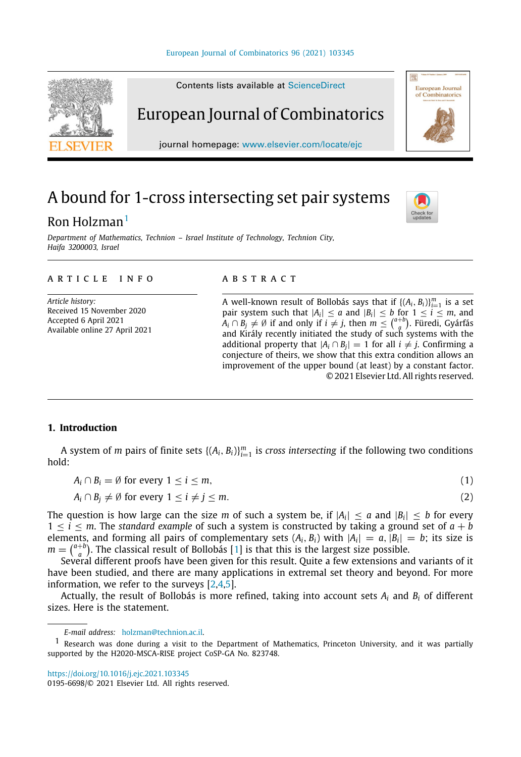

# A bound for 1-cross intersecting set pair systems

## Ron Holzman<sup>[1](#page-0-0)</sup>

*Department of Mathematics, Technion – Israel Institute of Technology, Technion City, Haifa 3200003, Israel*

#### ARTICLE INFO

*Article history:* Received 15 November 2020 Accepted 6 April 2021 Available online 27 April 2021

#### a b s t r a c t

A well-known result of Bollobás says that if  $\{(A_i, B_i)\}_{i=1}^m$  is a set pair system such that  $|A_i| \le a$  and  $|B_i| \le b$  for  $1 \le i \le m$ , and  $A_i \cap B_j \neq \emptyset$  if and only if  $i \neq j$ , then  $m \leq {a+b \choose a}$ . Füredi, Gyárfás and Király recently initiated the study of such systems with the additional property that  $|A_i \cap B_j| = 1$  for all  $i \neq j$ . Confirming a conjecture of theirs, we show that this extra condition allows an improvement of the upper bound (at least) by a constant factor. © 2021 Elsevier Ltd. All rights reserved.

<span id="page-0-2"></span><span id="page-0-1"></span>Check fo<br>updates

### **1. Introduction**

A system of *m* pairs of finite sets  $\{(A_i, B_i)\}_{i=1}^m$  is *cross intersecting* if the following two conditions hold:

| $A_i \cap B_i = \emptyset$ for every $1 \le i \le m$ , |  |  |  |
|--------------------------------------------------------|--|--|--|
|--------------------------------------------------------|--|--|--|

$$
A_i \cap B_j \neq \emptyset \text{ for every } 1 \leq i \neq j \leq m. \tag{2}
$$

The question is how large can the size m of such a system be, if  $|A_i| \le a$  and  $|B_i| \le b$  for every  $1 \leq i \leq m$ . The *standard example* of such a system is constructed by taking a ground set of  $a + b$ elements, and forming all pairs of complementary sets  $(A_i, B_i)$  with  $|A_i| = a$ ,  $|B_i| = b$ ; its size is  $m = \binom{a+b}{a}$ . The classical result of Bollobás [\[1\]](#page-5-0) is that this is the largest size possible.

Several different proofs have been given for this result. Quite a few extensions and variants of it have been studied, and there are many applications in extremal set theory and beyond. For more information, we refer to the surveys [\[2,](#page-5-1)[4,](#page-6-0)[5](#page-6-1)].

<span id="page-0-3"></span>Actually, the result of Bollobás is more refined, taking into account sets *A<sup>i</sup>* and *B<sup>i</sup>* of different sizes. Here is the statement.

<https://doi.org/10.1016/j.ejc.2021.103345>

<span id="page-0-0"></span>*E-mail address:* [holzman@technion.ac.il.](mailto:holzman@technion.ac.il)

<sup>1</sup> Research was done during a visit to the Department of Mathematics, Princeton University, and it was partially supported by the H2020-MSCA-RISE project CoSP-GA No. 823748.

<sup>0195-6698/</sup>© 2021 Elsevier Ltd. All rights reserved.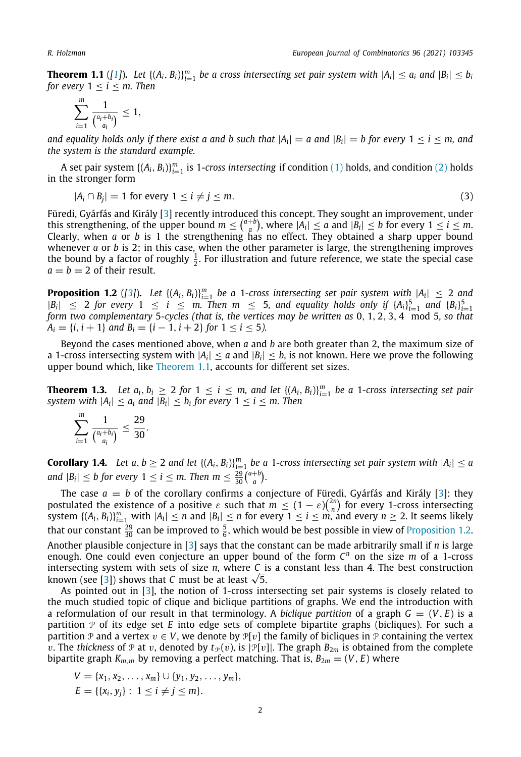**Theorem 1.1** ([\[1\]](#page-5-0)). Let  $\{(A_i, B_i)\}_{i=1}^m$  be a cross intersecting set pair system with  $|A_i| \le a_i$  and  $|B_i| \le b_i$ *for every*  $1 \le i \le m$ *. Then* 

$$
\sum_{i=1}^m \frac{1}{\binom{a_i+b_i}{a_i}} \leq 1,
$$

*and equality holds only if there exist a and b such that*  $|A_i| = a$  *and*  $|B_i| = b$  *for every*  $1 \le i \le m$ *, and the system is the standard example.*

A set pair system  $\{(A_i, B_i)\}_{i=1}^m$  is 1-*cross intersecting* if condition [\(1](#page-0-1)) holds, and condition ([2\)](#page-0-2) holds in the stronger form

$$
|A_i \cap B_j| = 1 \text{ for every } 1 \le i \ne j \le m. \tag{3}
$$

Füredi, Gyárfás and Király [[3\]](#page-6-2) recently introduced this concept. They sought an improvement, under this strengthening, of the upper bound  $m \leq {a+b \choose a}$ , where  $|A_i| \leq a$  and  $|B_i| \leq b$  for every  $1 \leq i \leq m$ . Clearly, when *a* or *b* is 1 the strengthening has no effect. They obtained a sharp upper bound whenever *a* or *b* is 2; in this case, when the other parameter is large, the strengthening improves the bound by a factor of roughly  $\frac{1}{2}$ . For illustration and future reference, we state the special case  $a = b = 2$  of their result.

<span id="page-1-0"></span>**Proposition 1.2** ([[3](#page-6-2)]). Let  $\{(A_i, B_i)\}_{i=1}^m$  be a 1-cross intersecting set pair system with  $|A_i| \leq 2$  and  $|B_i| \leq 2$  for every  $1 \leq i \leq m$ . Then  $m \leq 5$ , and equality holds only if  $\{A_i\}_{i=1}^5$  and  $\{B_i\}_{i=1}^5$ *form two complementary* 5*-cycles (that is, the vertices may be written as* 0, 1, 2, 3, 4 mod 5*, so that*  $A_i = \{i, i+1\}$  *and*  $B_i = \{i-1, i+2\}$  *for*  $1 \le i \le 5$ *).* 

Beyond the cases mentioned above, when *a* and *b* are both greater than 2, the maximum size of a 1-cross intersecting system with  $|A_i| \le a$  and  $|B_i| \le b$ , is not known. Here we prove the following upper bound which, like [Theorem](#page-0-3) [1.1,](#page-0-3) accounts for different set sizes.

<span id="page-1-1"></span>**Theorem 1.3.** Let  $a_i, b_i \geq 2$  for  $1 \leq i \leq m$ , and let  $\{(A_i, B_i)\}_{i=1}^m$  be a 1-cross intersecting set pair *system with*  $|A_i| \le a_i$  *and*  $|B_i| \le b_i$  for every  $1 \le i \le m$ . Then

$$
\sum_{i=1}^m \frac{1}{\binom{a_i+b_i}{a_i}} \leq \frac{29}{30}.
$$

**Corollary 1.4.** Let  $a, b \ge 2$  and let  $\{(A_i, B_i)\}_{i=1}^m$  be a 1-cross intersecting set pair system with  $|A_i| \le a$ *and*  $|B_i| \leq b$  for every  $1 \leq i \leq m$ . Then  $m \leq \frac{29}{30} {a+b \choose a}$ .

The case  $a = b$  of the corollary confirms a conjecture of Füredi, Gyárfás and Király [[3\]](#page-6-2): they postulated the existence of a positive  $\varepsilon$  such that  $m \leq (1 - \varepsilon) {2n \choose n}$  for every 1-cross intersecting system  $\{(A_i, B_i)\}_{i=1}^m$  with  $|A_i| \le n$  and  $|B_i| \le n$  for every  $1 \le i \le m$ , and every  $n \ge 2$ . It seems likely that our constant  $\frac{29}{30}$  can be improved to  $\frac{5}{6}$ , which would be best possible in view of [Proposition](#page-1-0) [1.2](#page-1-0). Another plausible conjecture in [\[3](#page-6-2)] says that the constant can be made arbitrarily small if *n* is large enough. One could even conjecture an upper bound of the form *C <sup>n</sup>* on the size *m* of a 1-cross intersecting system with sets of size *n*, where *C* is a constant less than 4. The best construction intersecting system with sets of size *n*, where *C* is<br>known (see [\[3\]](#page-6-2)) shows that *C* must be at least  $\sqrt{5}$ .

As pointed out in [[3\]](#page-6-2), the notion of 1-cross intersecting set pair systems is closely related to the much studied topic of clique and biclique partitions of graphs. We end the introduction with a reformulation of our result in that terminology. A *biclique partition* of a graph  $G = (V, E)$  is a partition P of its edge set *E* into edge sets of complete bipartite graphs (bicliques). For such a partition P and a vertex  $v \in V$ , we denote by  $\mathbb{P}[v]$  the family of bicliques in P containing the vertex v. The *thickness* of  $\mathcal P$  at v, denoted by  $t_{\mathcal P}(v)$ , is  $|\mathcal P[v]|$ . The graph  $B_{2m}$  is obtained from the complete bipartite graph  $K_{m,m}$  by removing a perfect matching. That is,  $B_{2m} = (V, E)$  where

$$
V = \{x_1, x_2, ..., x_m\} \cup \{y_1, y_2, ..., y_m\},
$$
  

$$
E = \{\{x_i, y_j\} : 1 \le i \ne j \le m\}.
$$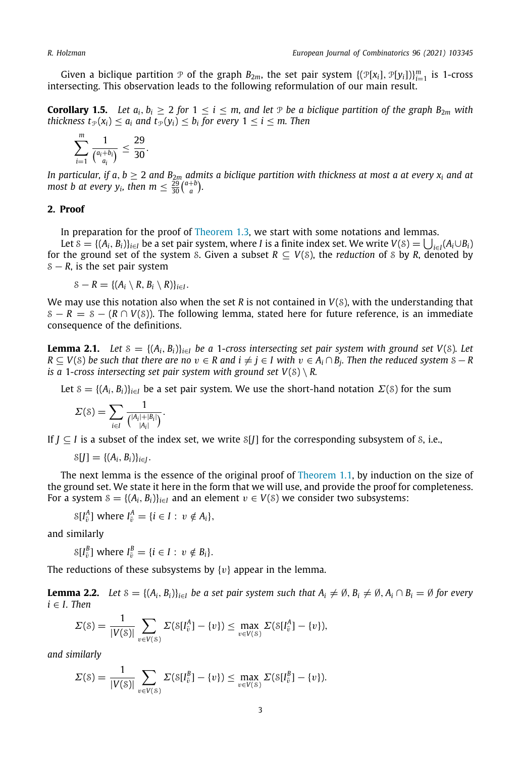Given a biclique partition  $P$  of the graph  $B_{2m}$ , the set pair system  $\{(\mathcal{P}[x_i], \mathcal{P}[y_i])\}_{i=1}^m$  is 1-cross intersecting. This observation leads to the following reformulation of our main result.

**Corollary 1.5.** Let  $a_i$ ,  $b_i > 2$  for  $1 < i < m$ , and let P be a biclique partition of the graph  $B_{2m}$  with *thickness*  $t_{\mathcal{P}}(x_i) \leq a_i$  and  $t_{\mathcal{P}}(y_i) \leq b_i$  for every  $1 \leq i \leq m$ . Then

$$
\sum_{i=1}^m \frac{1}{\binom{a_i+b_i}{a_i}} \leq \frac{29}{30}.
$$

*In particular, if a, b*  $\geq$  2 *and B*<sub>2*m*</sub> *admits a biclique partition with thickness at most a at every*  $x_i$  *and at most b at every y<sub>i</sub>*, *then*  $m \leq \frac{29}{30} {a+b \choose a}$ *.* 

### **2. Proof**

In preparation for the proof of [Theorem](#page-1-1) [1.3,](#page-1-1) we start with some notations and lemmas.

Let  $S = \{(A_i, B_i)\}_{i \in I}$  be a set pair system, where *I* is a finite index set. We write  $V(S) = \bigcup_{i \in I} (A_i \cup B_i)$ for the ground set of the system S. Given a subset  $R \subseteq V(S)$ , the *reduction* of S by *R*, denoted by S − *R*, is the set pair system

$$
S-R=\{(A_i\setminus R, B_i\setminus R)\}_{i\in I}.
$$

We may use this notation also when the set *R* is not contained in *V*(S), with the understanding that  $S - R = S - (R \cap V(S))$ . The following lemma, stated here for future reference, is an immediate consequence of the definitions.

<span id="page-2-0"></span>**Lemma 2.1.** Let  $S = \{(A_i, B_i)\}_{i \in I}$  be a 1-cross intersecting set pair system with ground set  $V(S)$ *.* Let  $R \subseteq V(S)$  be such that there are no  $v \in R$  and  $i \neq j \in I$  with  $v \in A_i \cap B_j$ . Then the reduced system  $S - R$ *is a* 1-cross intersecting set pair system with ground set  $V(S) \setminus R$ .

Let  $S = \{(A_i, B_i)\}_{i \in I}$  be a set pair system. We use the short-hand notation  $\Sigma(S)$  for the sum

$$
\Sigma(\mathcal{S}) = \sum_{i \in I} \frac{1}{\binom{|A_i| + |B_i|}{|A_i|}}.
$$

If  $J \subseteq I$  is a subset of the index set, we write  $S[J]$  for the corresponding subsystem of S, i.e.,

$$
\mathcal{S}[J] = \{(A_i, B_i)\}_{i \in J}.
$$

The next lemma is the essence of the original proof of [Theorem](#page-0-3) [1.1](#page-0-3), by induction on the size of the ground set. We state it here in the form that we will use, and provide the proof for completeness. For a system  $S = \{(A_i, B_i)\}_{i \in I}$  and an element  $v \in V(S)$  we consider two subsystems:

 $S[I_{\bar{v}}^{A}]$  where  $I_{\bar{v}}^{A} = \{i \in I : v \notin A_{i}\},\$ 

and similarly

 $S[I_{\bar{v}}^B]$  where  $I_{\bar{v}}^B = \{i \in I : v \notin B_i\}.$ 

<span id="page-2-1"></span>The reductions of these subsystems by  $\{v\}$  appear in the lemma.

**Lemma 2.2.** Let  $S = \{(A_i, B_i)\}_{i \in I}$  be a set pair system such that  $A_i \neq \emptyset$ ,  $B_i \neq \emptyset$ ,  $A_i \cap B_i = \emptyset$  for every  $i \in I$ *. Then* 

$$
\Sigma(\mathcal{S}) = \frac{1}{|V(\mathcal{S})|} \sum_{v \in V(\mathcal{S})} \Sigma(\mathcal{S}[I_{\bar{v}}^A] - \{v\}) \le \max_{v \in V(\mathcal{S})} \Sigma(\mathcal{S}[I_{\bar{v}}^A] - \{v\}),
$$

*and similarly*

$$
\Sigma(\mathcal{S}) = \frac{1}{|V(\mathcal{S})|} \sum_{v \in V(\mathcal{S})} \Sigma(\mathcal{S}[I_{\tilde{v}}^B] - \{v\}) \leq \max_{v \in V(\mathcal{S})} \Sigma(\mathcal{S}[I_{\tilde{v}}^B] - \{v\}).
$$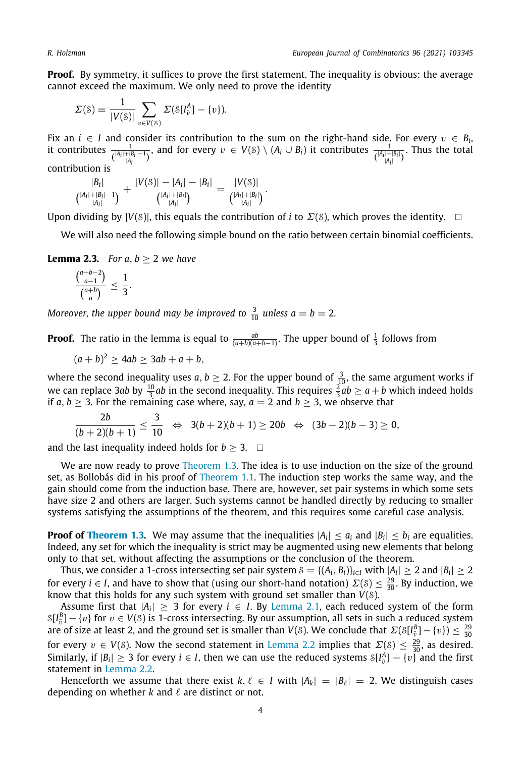**Proof.** By symmetry, it suffices to prove the first statement. The inequality is obvious: the average cannot exceed the maximum. We only need to prove the identity

$$
\Sigma(\mathcal{S}) = \frac{1}{|V(\mathcal{S})|} \sum_{v \in V(\mathcal{S})} \Sigma(\mathcal{S}[I_{\bar{v}}^A] - \{v\}).
$$

Fix an  $i \in I$  and consider its contribution to the sum on the right-hand side. For every  $v \in B_i$ , it contributes  $\frac{1}{\binom{|A_i|+|B_i|-1}{|A_i|}}$ , and for every  $v \in V(S) \setminus (A_i \cup B_i)$  it contributes  $\frac{1}{\binom{|A_i|+|B_i|}{|A_i|}}$ . Thus the total contribution is

$$
\frac{|B_i|}{\binom{|A_i|+|B_i|-1}{|A_i|}}+\frac{|V(s)|-|A_i|-|B_i|}{\binom{|A_i|+|B_i|}{|A_i|}}=\frac{|V(s)|}{\binom{|A_i|+|B_i|}{|A_i|}}.
$$

Upon dividing by  $|V(S)|$ , this equals the contribution of *i* to  $\Sigma(S)$ , which proves the identity.  $\square$ 

We will also need the following simple bound on the ratio between certain binomial coefficients.

<span id="page-3-0"></span>**Lemma 2.3.** *For a, b*  $> 2$  *we have* 

$$
\frac{\binom{a+b-2}{a-1}}{\binom{a+b}{a}} \leq \frac{1}{3}.
$$

*Moreover, the upper bound may be improved to*  $\frac{3}{10}$  *unless*  $a = b = 2$ *.* 

**Proof.** The ratio in the lemma is equal to  $\frac{ab}{(a+b)(a+b-1)}$ . The upper bound of  $\frac{1}{3}$  follows from

$$
(a+b)^2 \ge 4ab \ge 3ab + a + b,
$$

where the second inequality uses *a*, *b*  $\geq$  2. For the upper bound of  $\frac{3}{10}$ , the same argument works if we can replace 3*ab* by  $\frac{10}{3}ab$  in the second inequality. This requires  $\frac{2}{3}ab \ge a+b$  which indeed holds if *a*, *b*  $\geq$  3. For the remaining case where, say, *a* = 2 and *b*  $\geq$  3, we observe that

$$
\frac{2b}{(b+2)(b+1)} \leq \frac{3}{10} \iff 3(b+2)(b+1) \geq 20b \iff (3b-2)(b-3) \geq 0,
$$

and the last inequality indeed holds for  $b > 3$ .  $\Box$ 

We are now ready to prove [Theorem](#page-1-1) [1.3](#page-1-1). The idea is to use induction on the size of the ground set, as Bollobás did in his proof of [Theorem](#page-0-3) [1.1](#page-0-3). The induction step works the same way, and the gain should come from the induction base. There are, however, set pair systems in which some sets have size 2 and others are larger. Such systems cannot be handled directly by reducing to smaller systems satisfying the assumptions of the theorem, and this requires some careful case analysis.

**Proof of [Theorem](#page-1-1) [1.3](#page-1-1).** We may assume that the inequalities  $|A_i| \le a_i$  and  $|B_i| \le b_i$  are equalities. Indeed, any set for which the inequality is strict may be augmented using new elements that belong only to that set, without affecting the assumptions or the conclusion of the theorem.

Thus, we consider a 1-cross intersecting set pair system  $S = \{(A_i, B_i)\}_{i \in I}$  with  $|A_i| \ge 2$  and  $|B_i| \ge 2$ for every  $i \in I$ , and have to show that (using our short-hand notation)  $\Sigma(\mathcal{S}) \leq \frac{29}{30}$ . By induction, we know that this holds for any such system with ground set smaller than *V*(S).

Assume first that  $|A_i| \geq 3$  for every  $i \in I$ . By [Lemma](#page-2-0) [2.1](#page-2-0), each reduced system of the form  $\mathcal{S}[I_{\bar{v}}^B] - \{v\}$  for  $v \in V(\mathcal{S})$  is 1-cross intersecting. By our assumption, all sets in such a reduced system are of size at least 2, and the ground set is smaller than *V*(*S*). We conclude that  $\Sigma(S[I_{\tilde{v}}^B]-\{v\})\leq \frac{29}{30}$ for every  $v \in V(S)$ . Now the second statement in [Lemma](#page-2-1) [2.2](#page-2-1) implies that  $\Sigma(S) \leq \frac{29}{30}$ , as desired. Similarly, if  $|B_i| \ge 3$  for every  $i \in I$ , then we can use the reduced systems  $\mathcal{S}[I_{\tilde{v}}^A] - \{v\}$  and the first statement in [Lemma](#page-2-1) [2.2.](#page-2-1)

Henceforth we assume that there exist  $k, \ell \in I$  with  $|A_k| = |B_{\ell}| = 2$ . We distinguish cases depending on whether  $k$  and  $\ell$  are distinct or not.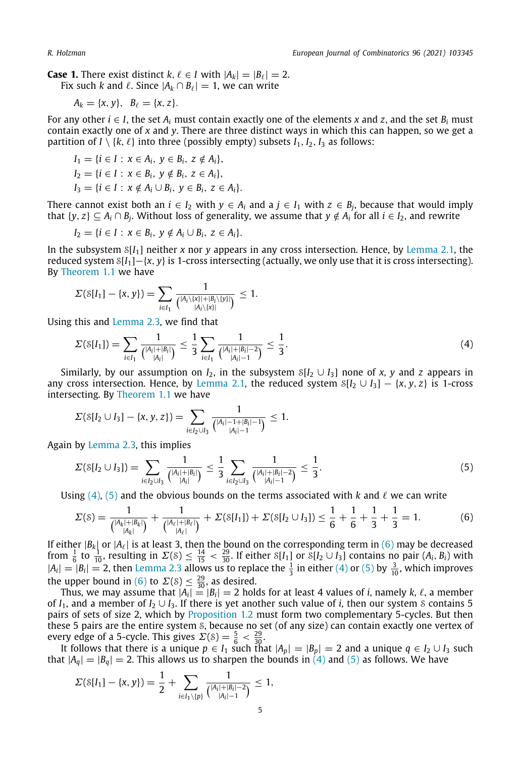**Case 1.** There exist distinct  $k, \ell \in I$  with  $|A_k| = |B_{\ell}| = 2$ .

Fix such *k* and  $\ell$ . Since  $|A_k \cap B_{\ell}| = 1$ , we can write

$$
A_k = \{x, y\}, \ \ B_\ell = \{x, z\}.
$$

For any other  $i \in I$ , the set  $A_i$  must contain exactly one of the elements *x* and *z*, and the set  $B_i$  must contain exactly one of *x* and *y*. There are three distinct ways in which this can happen, so we get a partition of *I* \  $\{k, \ell\}$  into three (possibly empty) subsets  $I_1, I_2, I_3$  as follows:

$$
I_1 = \{i \in I : x \in A_i, y \in B_i, z \notin A_i\},
$$
  
\n
$$
I_2 = \{i \in I : x \in B_i, y \notin B_i, z \in A_i\},
$$
  
\n
$$
I_3 = \{i \in I : x \notin A_i \cup B_i, y \in B_i, z \in A_i\}
$$

There cannot exist both an  $i \in I_2$  with  $y \in A_i$  and a  $j \in I_1$  with  $z \in B_j$ , because that would imply that  $\{y, z\} \subseteq A_i \cap B_j$ . Without loss of generality, we assume that  $y \notin A_i$  for all  $i \in I_2$ , and rewrite

$$
I_2 = \{i \in I : x \in B_i, y \notin A_i \cup B_i, z \in A_i\}.
$$

In the subsystem S[*I*1] neither *x* nor *y* appears in any cross intersection. Hence, by [Lemma](#page-2-0) [2.1,](#page-2-0) the reduced system S[*I*1]−{*x*, *y*} is 1-cross intersecting (actually, we only use that it is cross intersecting). By [Theorem](#page-0-3) [1.1](#page-0-3) we have

$$
\Sigma(\mathcal{S}[I_1] - \{x, y\}) = \sum_{i \in I_1} \frac{1}{\binom{|A_i \setminus \{x\}| + |B_i \setminus \{y\}|}{|A_i \setminus \{x\}|}} \leq 1.
$$

Using this and [Lemma](#page-3-0) [2.3,](#page-3-0) we find that

<span id="page-4-0"></span>
$$
\Sigma(\mathcal{S}[I_1]) = \sum_{i \in I_1} \frac{1}{\binom{|A_i| + |B_i|}{|A_i|}} \le \frac{1}{3} \sum_{i \in I_1} \frac{1}{\binom{|A_i| + |B_i| - 2}{|A_i| - 1}} \le \frac{1}{3}.
$$
\n(4)

Similarly, by our assumption on  $I_2$ , in the subsystem  $S[I_2 \cup I_3]$  none of *x*, *y* and *z* appears in any cross intersection. Hence, by [Lemma](#page-2-0) [2.1,](#page-2-0) the reduced system  $S[I_2 \cup I_3] - \{x, y, z\}$  is 1-cross intersecting. By [Theorem](#page-0-3) [1.1](#page-0-3) we have

$$
\Sigma(\delta[I_2\cup I_3]-\{x,y,z\})=\sum_{i\in I_2\cup I_3}\frac{1}{\binom{|A_i|-1+|B_i|-1}{|A_i|-1}}\leq 1.
$$

Again by [Lemma](#page-3-0) [2.3,](#page-3-0) this implies

<span id="page-4-1"></span>
$$
\Sigma(\mathcal{S}[I_2 \cup I_3]) = \sum_{i \in I_2 \cup I_3} \frac{1}{\binom{|A_i| + |B_i|}{|A_i|}} \le \frac{1}{3} \sum_{i \in I_2 \cup I_3} \frac{1}{\binom{|A_i| + |B_i| - 2}{|A_i| - 1}} \le \frac{1}{3}.
$$
\n(5)

Using [\(4\)](#page-4-0), ([5\)](#page-4-1) and the obvious bounds on the terms associated with *k* and  $\ell$  we can write

<span id="page-4-2"></span>
$$
\Sigma(\mathcal{S}) = \frac{1}{\binom{|A_k|+|B_k|}{|A_k|}} + \frac{1}{\binom{|A_\ell|+|B_\ell|}{|A_\ell|}} + \Sigma(\mathcal{S}[I_1]) + \Sigma(\mathcal{S}[I_2 \cup I_3]) \le \frac{1}{6} + \frac{1}{6} + \frac{1}{3} + \frac{1}{3} = 1. \tag{6}
$$

If either  $|B_k|$  or  $|A_\ell|$  is at least 3, then the bound on the corresponding term in [\(6\)](#page-4-2) may be decreased from  $\frac{1}{6}$  to  $\frac{1}{10}$ , resulting in  $\Sigma(8) \le \frac{14}{15} < \frac{29}{30}$ . If either  $\mathcal{S}[I_1]$  or  $\mathcal{S}[I_2 \cup I_3]$  contains no pair  $(A_i, B_i)$  with  $|A_i| = |B_i| = 2$ , then [Lemma](#page-3-0) [2.3](#page-3-0) allows us to replace the  $\frac{1}{3}$  in either ([4](#page-4-0)) or [\(5\)](#page-4-1) by  $\frac{3}{10}$ , which improves the upper bound in ([6\)](#page-4-2) to  $\Sigma(8) \leq \frac{29}{30}$ , as desired.

Thus, we may assume that  $|A_i| = |B_i| = 2$  holds for at least 4 values of *i*, namely *k*,  $\ell$ , a member of  $I_1$ , and a member of  $I_2 \cup I_3$ . If there is yet another such value of *i*, then our system *S* contains 5 pairs of sets of size 2, which by [Proposition](#page-1-0) [1.2](#page-1-0) must form two complementary 5-cycles. But then these 5 pairs are the entire system S, because no set (of any size) can contain exactly one vertex of every edge of a 5-cycle. This gives  $\Sigma(\delta) = \frac{5}{6} < \frac{29}{30}$ .

It follows that there is a unique  $p \in I_1$  such that  $|A_p| = |B_p| = 2$  and a unique  $q \in I_2 \cup I_3$  such that  $|A_q| = |B_q| = 2$ . This allows us to sharpen the bounds in [\(4](#page-4-0)) and [\(5\)](#page-4-1) as follows. We have

$$
\Sigma(\mathcal{S}[I_1] - \{x, y\}) = \frac{1}{2} + \sum_{i \in I_1 \setminus \{p\}} \frac{1}{\binom{|A_i| + |B_i| - 2}{|A_i| - 1}} \le 1,
$$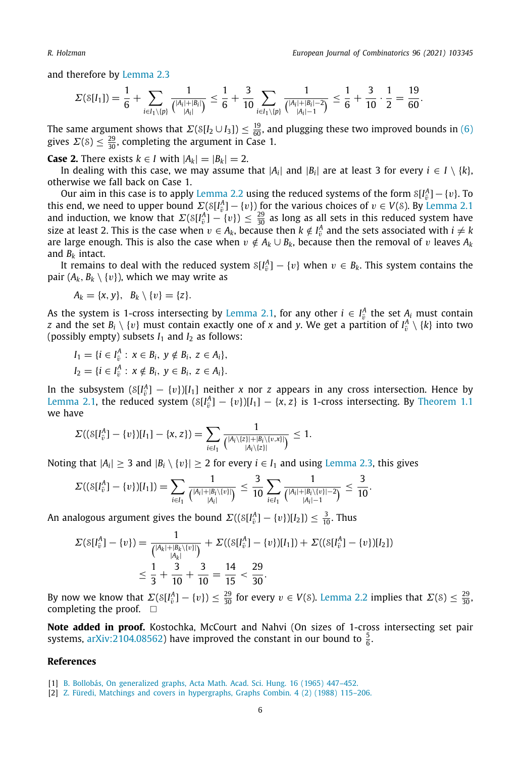.

and therefore by [Lemma](#page-3-0) [2.3](#page-3-0)

$$
\varSigma(\mathcal S[I_1]) = \frac{1}{6} + \sum_{i \in I_1 \setminus \{p\}} \frac{1}{\binom{|A_i| + |B_i|}{|A_i|}} \leq \frac{1}{6} + \frac{3}{10} \sum_{i \in I_1 \setminus \{p\}} \frac{1}{\binom{|A_i| + |B_i| - 2}{|A_i| - 1}} \leq \frac{1}{6} + \frac{3}{10} \cdot \frac{1}{2} = \frac{19}{60}
$$

The same argument shows that  $\Sigma(S[I_2 \cup I_3]) \leq \frac{19}{60}$ , and plugging these two improved bounds in [\(6\)](#page-4-2) gives  $\Sigma(\delta) \leq \frac{29}{30}$ , completing the argument in Case 1.

**Case 2.** There exists  $k \in I$  with  $|A_k| = |B_k| = 2$ .

In dealing with this case, we may assume that  $|A_i|$  and  $|B_i|$  are at least 3 for every  $i \in I \setminus \{k\}$ , otherwise we fall back on Case 1.

Our aim in this case is to apply [Lemma](#page-2-1) [2.2](#page-2-1) using the reduced systems of the form  $\mathcal{S}[I^A_{\tilde{v}}] - \{v\}$ . To this end, we need to upper bound  $\Sigma(S[I_{\tilde{v}}^A] - \{v\})$  for the various choices of  $v \in V(S)$ . By [Lemma](#page-2-0) [2.1](#page-2-0) and induction, we know that  $\Sigma(S[I_{\tilde{v}}^A] - \{v\}) \leq \frac{29}{30}$  as long as all sets in this reduced system have size at least 2. This is the case when  $v \in A_k$ , because then  $k \notin I_{\tilde{v}}^A$  and the sets associated with  $i \neq k$ are large enough. This is also the case when  $v \notin A_k \cup B_k$ , because then the removal of v leaves  $A_k$ and  $B_k$  intact.

It remains to deal with the reduced system  $\mathcal{S}[I_{\tilde{v}}^A] - \{v\}$  when  $v \in B_k$ . This system contains the pair  $(A_k, B_k \setminus \{v\})$ , which we may write as

$$
A_k = \{x, y\}, B_k \setminus \{v\} = \{z\}.
$$

As the system is 1-cross intersecting by [Lemma](#page-2-0) [2.1](#page-2-0), for any other  $i \in I^A_{\overline{v}}$  the set  $A_i$  must contain *z* and the set  $B_i \setminus \{v\}$  must contain exactly one of *x* and *y*. We get a partition of  $I^A_{\bar{v}} \setminus \{k\}$  into two (possibly empty) subsets  $I_1$  and  $I_2$  as follows:

$$
I_1 = \{i \in I_{\bar{v}}^A : x \in B_i, y \notin B_i, z \in A_i\},
$$
  

$$
I_2 = \{i \in I_{\bar{v}}^A : x \notin B_i, y \in B_i, z \in A_i\}.
$$

In the subsystem  $(S[I_{\tilde{v}}^A] - \{v\})[I_1]$  neither *x* nor *z* appears in any cross intersection. Hence by [Lemma](#page-2-0) [2.1,](#page-2-0) the reduced system  $(S[I_{\tilde{v}}^A] - \{v\})[I_1] - \{x, z\}$  is 1-cross intersecting. By [Theorem](#page-0-3) [1.1](#page-0-3) we have

$$
\Sigma((S[I_{\tilde{v}}^A] - \{v\})[I_1] - \{x, z\}) = \sum_{i \in I_1} \frac{1}{\binom{|A_i \setminus \{z\}| + |B_i \setminus \{v, x\}|}{|A_i \setminus \{z\}|}} \leq 1.
$$

Noting that  $|A_i| \geq 3$  and  $|B_i \setminus \{v\}| \geq 2$  for every  $i \in I_1$  and using [Lemma](#page-3-0) [2.3,](#page-3-0) this gives

$$
\Sigma((\delta[I_{\tilde{v}}^A] - \{v\})[I_1]) = \sum_{i \in I_1} \frac{1}{\binom{|A_i| + |B_i \setminus \{v\}|}{|A_i|}} \le \frac{3}{10} \sum_{i \in I_1} \frac{1}{\binom{|A_i| + |B_i \setminus \{v\}| - 2}{|A_i| - 1}} \le \frac{3}{10}.
$$

An analogous argument gives the bound  $\Sigma((\mathcal{S}[I_{\tilde{v}}^A]-\{v\})[I_2])\leq \frac{3}{10}$ . Thus

$$
\Sigma(\delta[I_{\tilde{v}}^A] - \{v\}) = \frac{1}{\binom{|A_k| + |B_k \setminus \{v\}|}{|A_k|}} + \Sigma((\delta[I_{\tilde{v}}^A] - \{v\})[I_1]) + \Sigma((\delta[I_{\tilde{v}}^A] - \{v\})[I_2])
$$
  

$$
\leq \frac{1}{3} + \frac{3}{10} + \frac{3}{10} = \frac{14}{15} < \frac{29}{30}.
$$

By now we know that  $\Sigma(S[I_v^A] - \{v\}) \leq \frac{29}{30}$  for every  $v \in V(S)$ . [Lemma](#page-2-1) [2.2](#page-2-1) implies that  $\Sigma(S) \leq \frac{29}{30}$ , completing the proof.  $\square$ 

**Note added in proof.** Kostochka, McCourt and Nahvi (On sizes of 1-cross intersecting set pair systems, [arXiv:2104.08562](http://arxiv.org/abs/2104.08562)) have improved the constant in our bound to  $\frac{5}{6}$ .

#### **References**

<span id="page-5-0"></span>[1] [B. Bollobás, On generalized graphs, Acta Math. Acad. Sci. Hung. 16 \(1965\) 447–452.](http://refhub.elsevier.com/S0195-6698(21)00037-8/sb1)

<span id="page-5-1"></span><sup>[2]</sup> [Z. Füredi, Matchings and covers in hypergraphs, Graphs Combin. 4 \(2\) \(1988\) 115–206.](http://refhub.elsevier.com/S0195-6698(21)00037-8/sb2)